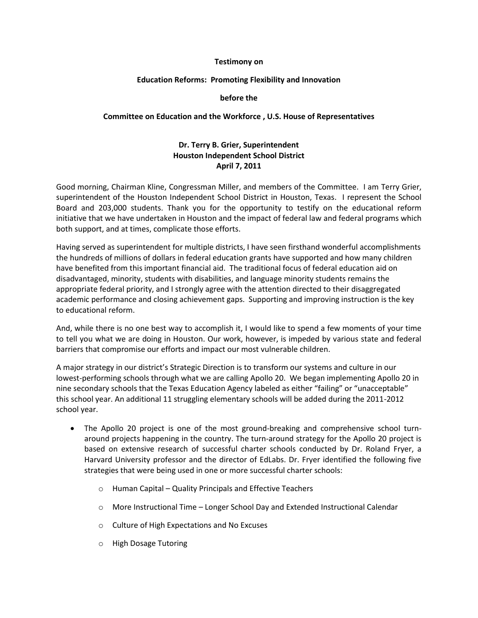#### **Testimony on**

#### **Education Reforms: Promoting Flexibility and Innovation**

#### **before the**

#### **Committee on Education and the Workforce , U.S. House of Representatives**

## **Dr. Terry B. Grier, Superintendent Houston Independent School District April 7, 2011**

Good morning, Chairman Kline, Congressman Miller, and members of the Committee. I am Terry Grier, superintendent of the Houston Independent School District in Houston, Texas. I represent the School Board and 203,000 students. Thank you for the opportunity to testify on the educational reform initiative that we have undertaken in Houston and the impact of federal law and federal programs which both support, and at times, complicate those efforts.

Having served as superintendent for multiple districts, I have seen firsthand wonderful accomplishments the hundreds of millions of dollars in federal education grants have supported and how many children have benefited from this important financial aid. The traditional focus of federal education aid on disadvantaged, minority, students with disabilities, and language minority students remains the appropriate federal priority, and I strongly agree with the attention directed to their disaggregated academic performance and closing achievement gaps. Supporting and improving instruction is the key to educational reform.

And, while there is no one best way to accomplish it, I would like to spend a few moments of your time to tell you what we are doing in Houston. Our work, however, is impeded by various state and federal barriers that compromise our efforts and impact our most vulnerable children.

A major strategy in our district's Strategic Direction is to transform our systems and culture in our lowest-performing schools through what we are calling Apollo 20. We began implementing Apollo 20 in nine secondary schools that the Texas Education Agency labeled as either "failing" or "unacceptable" this school year. An additional 11 struggling elementary schools will be added during the 2011-2012 school year.

- The Apollo 20 project is one of the most ground-breaking and comprehensive school turnaround projects happening in the country. The turn-around strategy for the Apollo 20 project is based on extensive research of successful charter schools conducted by Dr. Roland Fryer, a Harvard University professor and the director of EdLabs. Dr. Fryer identified the following five strategies that were being used in one or more successful charter schools:
	- o Human Capital Quality Principals and Effective Teachers
	- o More Instructional Time Longer School Day and Extended Instructional Calendar
	- o Culture of High Expectations and No Excuses
	- o High Dosage Tutoring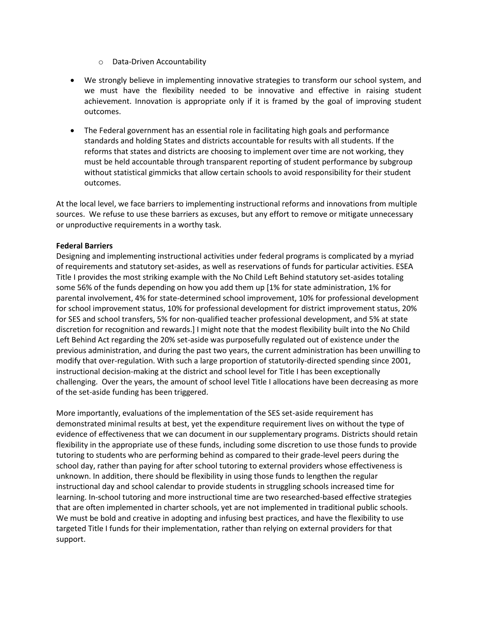- o Data-Driven Accountability
- We strongly believe in implementing innovative strategies to transform our school system, and we must have the flexibility needed to be innovative and effective in raising student achievement. Innovation is appropriate only if it is framed by the goal of improving student outcomes.
- The Federal government has an essential role in facilitating high goals and performance standards and holding States and districts accountable for results with all students. If the reforms that states and districts are choosing to implement over time are not working, they must be held accountable through transparent reporting of student performance by subgroup without statistical gimmicks that allow certain schools to avoid responsibility for their student outcomes.

At the local level, we face barriers to implementing instructional reforms and innovations from multiple sources. We refuse to use these barriers as excuses, but any effort to remove or mitigate unnecessary or unproductive requirements in a worthy task.

## **Federal Barriers**

Designing and implementing instructional activities under federal programs is complicated by a myriad of requirements and statutory set-asides, as well as reservations of funds for particular activities. ESEA Title I provides the most striking example with the No Child Left Behind statutory set-asides totaling some 56% of the funds depending on how you add them up [1% for state administration, 1% for parental involvement, 4% for state-determined school improvement, 10% for professional development for school improvement status, 10% for professional development for district improvement status, 20% for SES and school transfers, 5% for non-qualified teacher professional development, and 5% at state discretion for recognition and rewards.] I might note that the modest flexibility built into the No Child Left Behind Act regarding the 20% set-aside was purposefully regulated out of existence under the previous administration, and during the past two years, the current administration has been unwilling to modify that over-regulation. With such a large proportion of statutorily-directed spending since 2001, instructional decision-making at the district and school level for Title I has been exceptionally challenging. Over the years, the amount of school level Title I allocations have been decreasing as more of the set-aside funding has been triggered.

More importantly, evaluations of the implementation of the SES set-aside requirement has demonstrated minimal results at best, yet the expenditure requirement lives on without the type of evidence of effectiveness that we can document in our supplementary programs. Districts should retain flexibility in the appropriate use of these funds, including some discretion to use those funds to provide tutoring to students who are performing behind as compared to their grade-level peers during the school day, rather than paying for after school tutoring to external providers whose effectiveness is unknown. In addition, there should be flexibility in using those funds to lengthen the regular instructional day and school calendar to provide students in struggling schools increased time for learning. In-school tutoring and more instructional time are two researched-based effective strategies that are often implemented in charter schools, yet are not implemented in traditional public schools. We must be bold and creative in adopting and infusing best practices, and have the flexibility to use targeted Title I funds for their implementation, rather than relying on external providers for that support.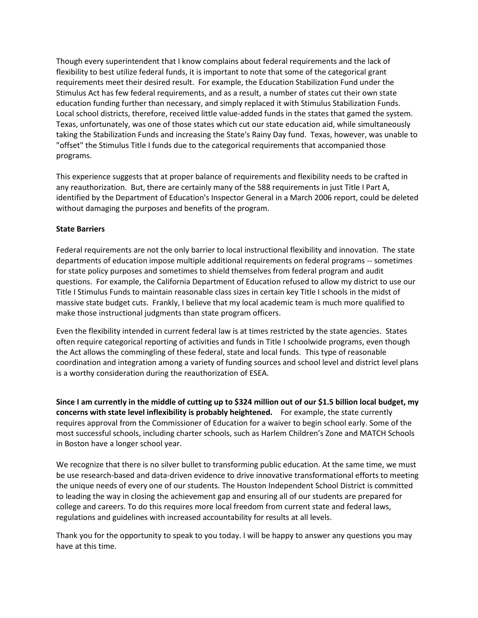Though every superintendent that I know complains about federal requirements and the lack of flexibility to best utilize federal funds, it is important to note that some of the categorical grant requirements meet their desired result. For example, the Education Stabilization Fund under the Stimulus Act has few federal requirements, and as a result, a number of states cut their own state education funding further than necessary, and simply replaced it with Stimulus Stabilization Funds. Local school districts, therefore, received little value-added funds in the states that gamed the system. Texas, unfortunately, was one of those states which cut our state education aid, while simultaneously taking the Stabilization Funds and increasing the State's Rainy Day fund. Texas, however, was unable to "offset" the Stimulus Title I funds due to the categorical requirements that accompanied those programs.

This experience suggests that at proper balance of requirements and flexibility needs to be crafted in any reauthorization. But, there are certainly many of the 588 requirements in just Title I Part A, identified by the Department of Education's Inspector General in a March 2006 report, could be deleted without damaging the purposes and benefits of the program.

## **State Barriers**

Federal requirements are not the only barrier to local instructional flexibility and innovation. The state departments of education impose multiple additional requirements on federal programs -- sometimes for state policy purposes and sometimes to shield themselves from federal program and audit questions. For example, the California Department of Education refused to allow my district to use our Title I Stimulus Funds to maintain reasonable class sizes in certain key Title I schools in the midst of massive state budget cuts. Frankly, I believe that my local academic team is much more qualified to make those instructional judgments than state program officers.

Even the flexibility intended in current federal law is at times restricted by the state agencies. States often require categorical reporting of activities and funds in Title I schoolwide programs, even though the Act allows the commingling of these federal, state and local funds. This type of reasonable coordination and integration among a variety of funding sources and school level and district level plans is a worthy consideration during the reauthorization of ESEA.

**Since I am currently in the middle of cutting up to \$324 million out of our \$1.5 billion local budget, my concerns with state level inflexibility is probably heightened.** For example, the state currently requires approval from the Commissioner of Education for a waiver to begin school early. Some of the most successful schools, including charter schools, such as Harlem Children's Zone and MATCH Schools in Boston have a longer school year.

We recognize that there is no silver bullet to transforming public education. At the same time, we must be use research-based and data-driven evidence to drive innovative transformational efforts to meeting the unique needs of every one of our students. The Houston Independent School District is committed to leading the way in closing the achievement gap and ensuring all of our students are prepared for college and careers. To do this requires more local freedom from current state and federal laws, regulations and guidelines with increased accountability for results at all levels.

Thank you for the opportunity to speak to you today. I will be happy to answer any questions you may have at this time.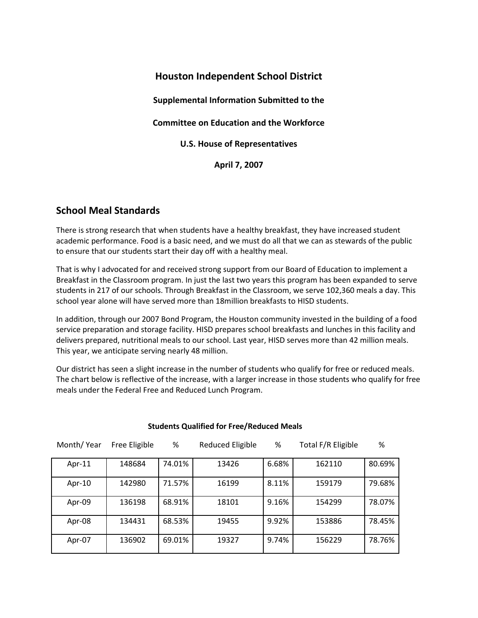## **Houston Independent School District**

**Supplemental Information Submitted to the**

**Committee on Education and the Workforce** 

**U.S. House of Representatives**

**April 7, 2007**

## **School Meal Standards**

There is strong research that when students have a healthy breakfast, they have increased student academic performance. Food is a basic need, and we must do all that we can as stewards of the public to ensure that our students start their day off with a healthy meal.

That is why I advocated for and received strong support from our Board of Education to implement a Breakfast in the Classroom program. In just the last two years this program has been expanded to serve students in 217 of our schools. Through Breakfast in the Classroom, we serve 102,360 meals a day. This school year alone will have served more than 18million breakfasts to HISD students.

In addition, through our 2007 Bond Program, the Houston community invested in the building of a food service preparation and storage facility. HISD prepares school breakfasts and lunches in this facility and delivers prepared, nutritional meals to our school. Last year, HISD serves more than 42 million meals. This year, we anticipate serving nearly 48 million.

Our district has seen a slight increase in the number of students who qualify for free or reduced meals. The chart below is reflective of the increase, with a larger increase in those students who qualify for free meals under the Federal Free and Reduced Lunch Program.

| Month/Year | Free Eligible | %      | <b>Reduced Eligible</b> | %     | Total F/R Eligible | %      |
|------------|---------------|--------|-------------------------|-------|--------------------|--------|
| Apr- $11$  | 148684        | 74.01% | 13426                   | 6.68% | 162110             | 80.69% |
| Apr-10     | 142980        | 71.57% | 16199                   | 8.11% | 159179             | 79.68% |
| Apr-09     | 136198        | 68.91% | 18101                   | 9.16% | 154299             | 78.07% |
| Apr-08     | 134431        | 68.53% | 19455                   | 9.92% | 153886             | 78.45% |
| Apr-07     | 136902        | 69.01% | 19327                   | 9.74% | 156229             | 78.76% |

### **Students Qualified for Free/Reduced Meals**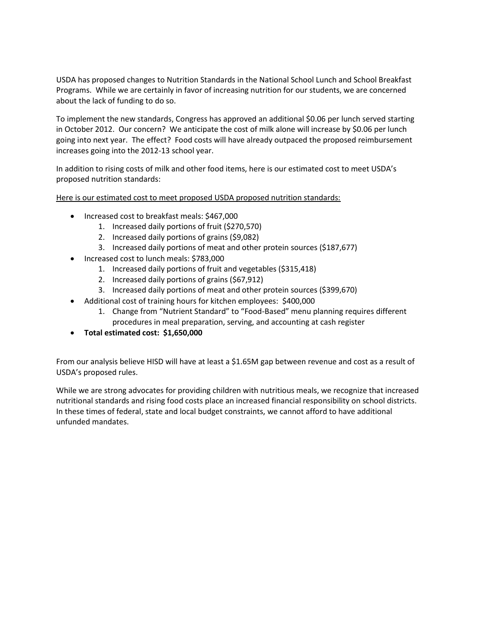USDA has proposed changes to Nutrition Standards in the National School Lunch and School Breakfast Programs. While we are certainly in favor of increasing nutrition for our students, we are concerned about the lack of funding to do so.

To implement the new standards, Congress has approved an additional \$0.06 per lunch served starting in October 2012. Our concern? We anticipate the cost of milk alone will increase by \$0.06 per lunch going into next year. The effect? Food costs will have already outpaced the proposed reimbursement increases going into the 2012-13 school year.

In addition to rising costs of milk and other food items, here is our estimated cost to meet USDA's proposed nutrition standards:

Here is our estimated cost to meet proposed USDA proposed nutrition standards:

- Increased cost to breakfast meals: \$467,000
	- 1. Increased daily portions of fruit (\$270,570)
	- 2. Increased daily portions of grains (\$9,082)
	- 3. Increased daily portions of meat and other protein sources (\$187,677)
- Increased cost to lunch meals: \$783,000
	- 1. Increased daily portions of fruit and vegetables (\$315,418)
	- 2. Increased daily portions of grains (\$67,912)
	- 3. Increased daily portions of meat and other protein sources (\$399,670)
- Additional cost of training hours for kitchen employees: \$400,000
	- 1. Change from "Nutrient Standard" to "Food-Based" menu planning requires different procedures in meal preparation, serving, and accounting at cash register
- **Total estimated cost: \$1,650,000**

From our analysis believe HISD will have at least a \$1.65M gap between revenue and cost as a result of USDA's proposed rules.

While we are strong advocates for providing children with nutritious meals, we recognize that increased nutritional standards and rising food costs place an increased financial responsibility on school districts. In these times of federal, state and local budget constraints, we cannot afford to have additional unfunded mandates.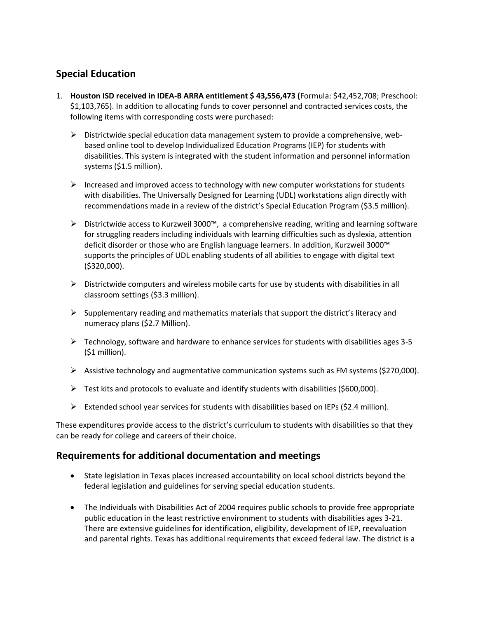# **Special Education**

- 1. **Houston ISD received in IDEA-B ARRA entitlement \$ 43,556,473 (**Formula: \$42,452,708; Preschool: \$1,103,765). In addition to allocating funds to cover personnel and contracted services costs, the following items with corresponding costs were purchased:
	- $\triangleright$  Districtwide special education data management system to provide a comprehensive, webbased online tool to develop Individualized Education Programs (IEP) for students with disabilities. This system is integrated with the student information and personnel information systems (\$1.5 million).
	- $\triangleright$  Increased and improved access to technology with new computer workstations for students with disabilities. The Universally Designed for Learning (UDL) workstations align directly with recommendations made in a review of the district's Special Education Program (\$3.5 million).
	- Districtwide access to Kurzweil 3000™, a comprehensive reading, writing and learning software for struggling readers including individuals with learning difficulties such as dyslexia, attention deficit disorder or those who are English language learners. In addition, Kurzweil 3000™ supports the principles of UDL enabling students of all abilities to engage with digital text (\$320,000).
	- $\triangleright$  Districtwide computers and wireless mobile carts for use by students with disabilities in all classroom settings (\$3.3 million).
	- $\triangleright$  Supplementary reading and mathematics materials that support the district's literacy and numeracy plans (\$2.7 Million).
	- $\triangleright$  Technology, software and hardware to enhance services for students with disabilities ages 3-5 (\$1 million).
	- $\triangleright$  Assistive technology and augmentative communication systems such as FM systems (\$270,000).
	- $\triangleright$  Test kits and protocols to evaluate and identify students with disabilities (\$600,000).
	- Extended school year services for students with disabilities based on IEPs (\$2.4 million).

These expenditures provide access to the district's curriculum to students with disabilities so that they can be ready for college and careers of their choice.

## **Requirements for additional documentation and meetings**

- State legislation in Texas places increased accountability on local school districts beyond the federal legislation and guidelines for serving special education students.
- The Individuals with Disabilities Act of 2004 requires public schools to provide free appropriate public education in the least restrictive environment to students with disabilities ages 3-21. There are extensive guidelines for identification, eligibility, development of IEP, reevaluation and parental rights. Texas has additional requirements that exceed federal law. The district is a